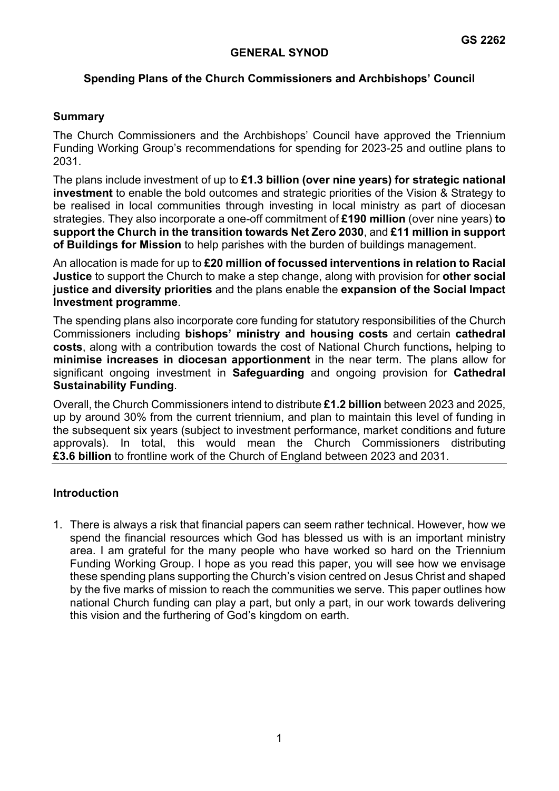## **GENERAL SYNOD**

## **Spending Plans of the Church Commissioners and Archbishops' Council**

#### **Summary**

The Church Commissioners and the Archbishops' Council have approved the Triennium Funding Working Group's recommendations for spending for 2023-25 and outline plans to 2031.

The plans include investment of up to **£1.3 billion (over nine years) for strategic national investment** to enable the bold outcomes and strategic priorities of the Vision & Strategy to be realised in local communities through investing in local ministry as part of diocesan strategies. They also incorporate a one-off commitment of **£190 million** (over nine years) **to support the Church in the transition towards Net Zero 2030**, and **£11 million in support of Buildings for Mission** to help parishes with the burden of buildings management.

An allocation is made for up to **£20 million of focussed interventions in relation to Racial Justice** to support the Church to make a step change, along with provision for **other social justice and diversity priorities** and the plans enable the **expansion of the Social Impact Investment programme**.

The spending plans also incorporate core funding for statutory responsibilities of the Church Commissioners including **bishops' ministry and housing costs** and certain **cathedral costs**, along with a contribution towards the cost of National Church functions**,** helping to **minimise increases in diocesan apportionment** in the near term. The plans allow for significant ongoing investment in **Safeguarding** and ongoing provision for **Cathedral Sustainability Funding**.

Overall, the Church Commissioners intend to distribute **£1.2 billion** between 2023 and 2025, up by around 30% from the current triennium, and plan to maintain this level of funding in the subsequent six years (subject to investment performance, market conditions and future approvals). In total, this would mean the Church Commissioners distributing **£3.6 billion** to frontline work of the Church of England between 2023 and 2031.

#### **Introduction**

1. There is always a risk that financial papers can seem rather technical. However, how we spend the financial resources which God has blessed us with is an important ministry area. I am grateful for the many people who have worked so hard on the Triennium Funding Working Group. I hope as you read this paper, you will see how we envisage these spending plans supporting the Church's vision centred on Jesus Christ and shaped by the five marks of mission to reach the communities we serve. This paper outlines how national Church funding can play a part, but only a part, in our work towards delivering this vision and the furthering of God's kingdom on earth.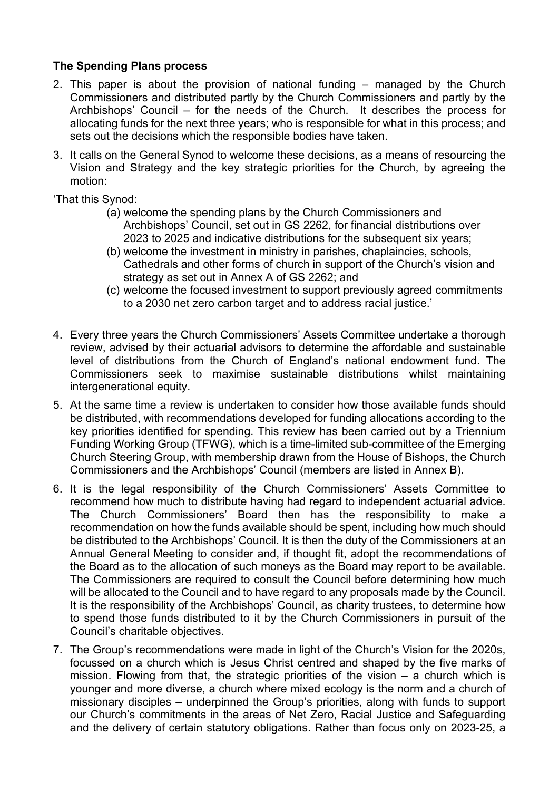## **The Spending Plans process**

- 2. This paper is about the provision of national funding managed by the Church Commissioners and distributed partly by the Church Commissioners and partly by the Archbishops' Council – for the needs of the Church. It describes the process for allocating funds for the next three years; who is responsible for what in this process; and sets out the decisions which the responsible bodies have taken.
- 3. It calls on the General Synod to welcome these decisions, as a means of resourcing the Vision and Strategy and the key strategic priorities for the Church, by agreeing the motion:

'That this Synod:

- (a) welcome the spending plans by the Church Commissioners and Archbishops' Council, set out in GS 2262, for financial distributions over 2023 to 2025 and indicative distributions for the subsequent six years;
- (b) welcome the investment in ministry in parishes, chaplaincies, schools, Cathedrals and other forms of church in support of the Church's vision and strategy as set out in Annex A of GS 2262; and
- (c) welcome the focused investment to support previously agreed commitments to a 2030 net zero carbon target and to address racial justice.'
- 4. Every three years the Church Commissioners' Assets Committee undertake a thorough review, advised by their actuarial advisors to determine the affordable and sustainable level of distributions from the Church of England's national endowment fund. The Commissioners seek to maximise sustainable distributions whilst maintaining intergenerational equity.
- 5. At the same time a review is undertaken to consider how those available funds should be distributed, with recommendations developed for funding allocations according to the key priorities identified for spending. This review has been carried out by a Triennium Funding Working Group (TFWG), which is a time-limited sub-committee of the Emerging Church Steering Group, with membership drawn from the House of Bishops, the Church Commissioners and the Archbishops' Council (members are listed in Annex B).
- 6. It is the legal responsibility of the Church Commissioners' Assets Committee to recommend how much to distribute having had regard to independent actuarial advice. The Church Commissioners' Board then has the responsibility to make a recommendation on how the funds available should be spent, including how much should be distributed to the Archbishops' Council. It is then the duty of the Commissioners at an Annual General Meeting to consider and, if thought fit, adopt the recommendations of the Board as to the allocation of such moneys as the Board may report to be available. The Commissioners are required to consult the Council before determining how much will be allocated to the Council and to have regard to any proposals made by the Council. It is the responsibility of the Archbishops' Council, as charity trustees, to determine how to spend those funds distributed to it by the Church Commissioners in pursuit of the Council's charitable objectives.
- 7. The Group's recommendations were made in light of the Church's Vision for the 2020s, focussed on a church which is Jesus Christ centred and shaped by the five marks of mission. Flowing from that, the strategic priorities of the vision – a church which is younger and more diverse, a church where mixed ecology is the norm and a church of missionary disciples – underpinned the Group's priorities, along with funds to support our Church's commitments in the areas of Net Zero, Racial Justice and Safeguarding and the delivery of certain statutory obligations. Rather than focus only on 2023-25, a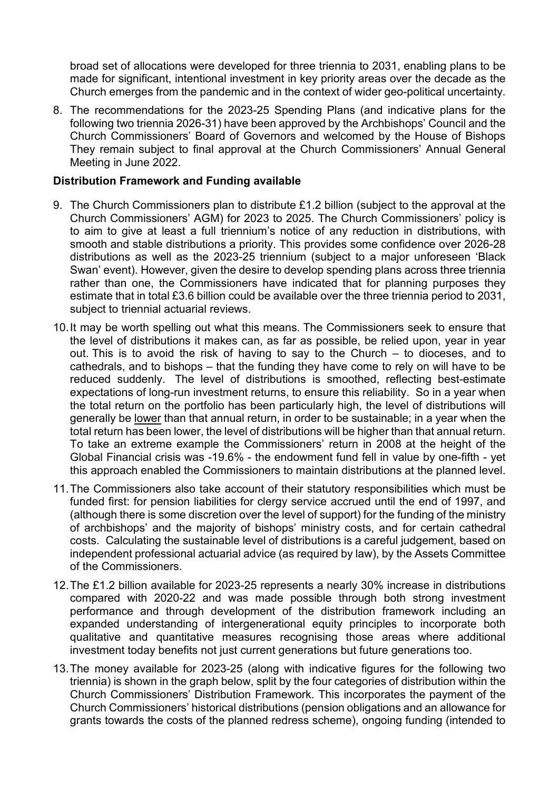broad set of allocations were developed for three triennia to 2031, enabling plans to be made for significant, intentional investment in key priority areas over the decade as the Church emerges from the pandemic and in the context of wider geo-political uncertainty.

8. The recommendations for the 2023-25 Spending Plans (and indicative plans for the following two triennia 2026-31) have been approved by the Archbishops' Council and the Church Commissioners' Board of Governors and welcomed by the House of Bishops They remain subject to final approval at the Church Commissioners' Annual General Meeting in June 2022.

#### **Distribution Framework and Funding available**

- 9. The Church Commissioners plan to distribute £1.2 billion (subject to the approval at the Church Commissioners' AGM) for 2023 to 2025. The Church Commissioners' policy is to aim to give at least a full triennium's notice of any reduction in distributions, with smooth and stable distributions a priority. This provides some confidence over 2026-28 distributions as well as the 2023-25 triennium (subject to a major unforeseen 'Black Swan' event). However, given the desire to develop spending plans across three triennia rather than one, the Commissioners have indicated that for planning purposes they estimate that in total £3.6 billion could be available over the three triennia period to 2031, subject to triennial actuarial reviews.
- 10.It may be worth spelling out what this means. The Commissioners seek to ensure that the level of distributions it makes can, as far as possible, be relied upon, year in year out. This is to avoid the risk of having to say to the Church – to dioceses, and to cathedrals, and to bishops – that the funding they have come to rely on will have to be reduced suddenly. The level of distributions is smoothed, reflecting best-estimate expectations of long-run investment returns, to ensure this reliability. So in a year when the total return on the portfolio has been particularly high, the level of distributions will generally be lower than that annual return, in order to be sustainable; in a year when the total return has been lower, the level of distributions will be higher than that annual return. To take an extreme example the Commissioners' return in 2008 at the height of the Global Financial crisis was -19.6% - the endowment fund fell in value by one-fifth - yet this approach enabled the Commissioners to maintain distributions at the planned level.
- 11.The Commissioners also take account of their statutory responsibilities which must be funded first: for pension liabilities for clergy service accrued until the end of 1997, and (although there is some discretion over the level of support) for the funding of the ministry of archbishops' and the majority of bishops' ministry costs, and for certain cathedral costs. Calculating the sustainable level of distributions is a careful judgement, based on independent professional actuarial advice (as required by law), by the Assets Committee of the Commissioners.
- 12.The £1.2 billion available for 2023-25 represents a nearly 30% increase in distributions compared with 2020-22 and was made possible through both strong investment performance and through development of the distribution framework including an expanded understanding of intergenerational equity principles to incorporate both qualitative and quantitative measures recognising those areas where additional investment today benefits not just current generations but future generations too.
- 13.The money available for 2023-25 (along with indicative figures for the following two triennia) is shown in the graph below, split by the four categories of distribution within the Church Commissioners' Distribution Framework. This incorporates the payment of the Church Commissioners' historical distributions (pension obligations and an allowance for grants towards the costs of the planned redress scheme), ongoing funding (intended to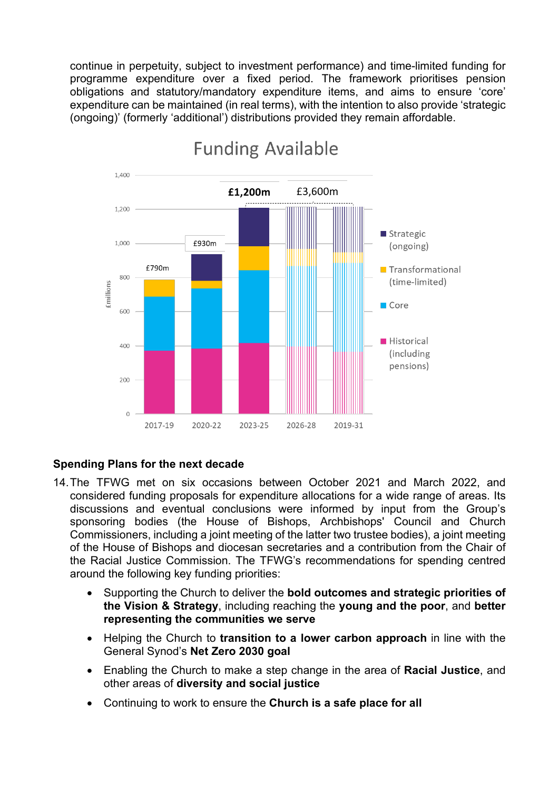continue in perpetuity, subject to investment performance) and time-limited funding for programme expenditure over a fixed period. The framework prioritises pension obligations and statutory/mandatory expenditure items, and aims to ensure 'core' expenditure can be maintained (in real terms), with the intention to also provide 'strategic (ongoing)' (formerly 'additional') distributions provided they remain affordable.



# **Funding Available**

# **Spending Plans for the next decade**

- 14.The TFWG met on six occasions between October 2021 and March 2022, and considered funding proposals for expenditure allocations for a wide range of areas. Its discussions and eventual conclusions were informed by input from the Group's sponsoring bodies (the House of Bishops, Archbishops' Council and Church Commissioners, including a joint meeting of the latter two trustee bodies), a joint meeting of the House of Bishops and diocesan secretaries and a contribution from the Chair of the Racial Justice Commission. The TFWG's recommendations for spending centred around the following key funding priorities:
	- Supporting the Church to deliver the **bold outcomes and strategic priorities of the Vision & Strategy**, including reaching the **young and the poor**, and **better representing the communities we serve**
	- Helping the Church to **transition to a lower carbon approach** in line with the General Synod's **Net Zero 2030 goal**
	- Enabling the Church to make a step change in the area of **Racial Justice**, and other areas of **diversity and social justice**
	- Continuing to work to ensure the **Church is a safe place for all**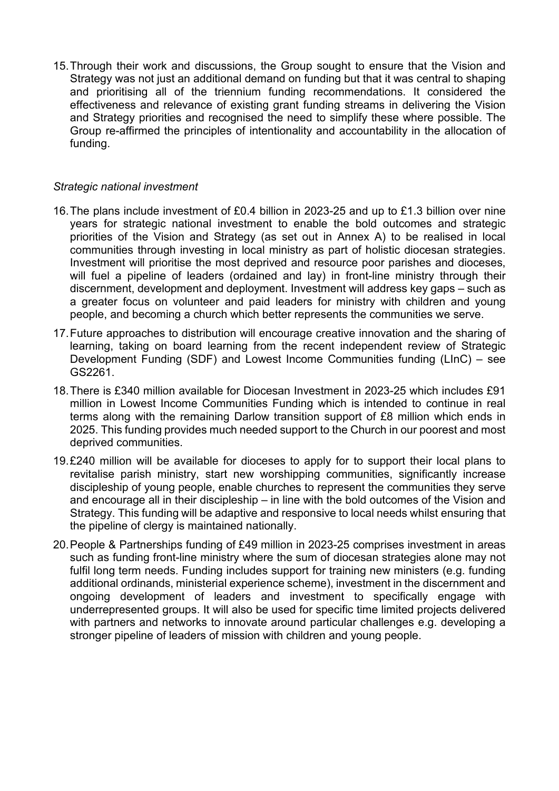15.Through their work and discussions, the Group sought to ensure that the Vision and Strategy was not just an additional demand on funding but that it was central to shaping and prioritising all of the triennium funding recommendations. It considered the effectiveness and relevance of existing grant funding streams in delivering the Vision and Strategy priorities and recognised the need to simplify these where possible. The Group re-affirmed the principles of intentionality and accountability in the allocation of funding.

#### *Strategic national investment*

- 16.The plans include investment of £0.4 billion in 2023-25 and up to £1.3 billion over nine years for strategic national investment to enable the bold outcomes and strategic priorities of the Vision and Strategy (as set out in Annex A) to be realised in local communities through investing in local ministry as part of holistic diocesan strategies. Investment will prioritise the most deprived and resource poor parishes and dioceses, will fuel a pipeline of leaders (ordained and lay) in front-line ministry through their discernment, development and deployment. Investment will address key gaps – such as a greater focus on volunteer and paid leaders for ministry with children and young people, and becoming a church which better represents the communities we serve.
- 17.Future approaches to distribution will encourage creative innovation and the sharing of learning, taking on board learning from the recent independent review of Strategic Development Funding (SDF) and Lowest Income Communities funding (LInC) – see GS2261.
- 18.There is £340 million available for Diocesan Investment in 2023-25 which includes £91 million in Lowest Income Communities Funding which is intended to continue in real terms along with the remaining Darlow transition support of £8 million which ends in 2025. This funding provides much needed support to the Church in our poorest and most deprived communities.
- 19.£240 million will be available for dioceses to apply for to support their local plans to revitalise parish ministry, start new worshipping communities, significantly increase discipleship of young people, enable churches to represent the communities they serve and encourage all in their discipleship – in line with the bold outcomes of the Vision and Strategy. This funding will be adaptive and responsive to local needs whilst ensuring that the pipeline of clergy is maintained nationally.
- 20.People & Partnerships funding of £49 million in 2023-25 comprises investment in areas such as funding front-line ministry where the sum of diocesan strategies alone may not fulfil long term needs. Funding includes support for training new ministers (e.g. funding additional ordinands, ministerial experience scheme), investment in the discernment and ongoing development of leaders and investment to specifically engage with underrepresented groups. It will also be used for specific time limited projects delivered with partners and networks to innovate around particular challenges e.g. developing a stronger pipeline of leaders of mission with children and young people.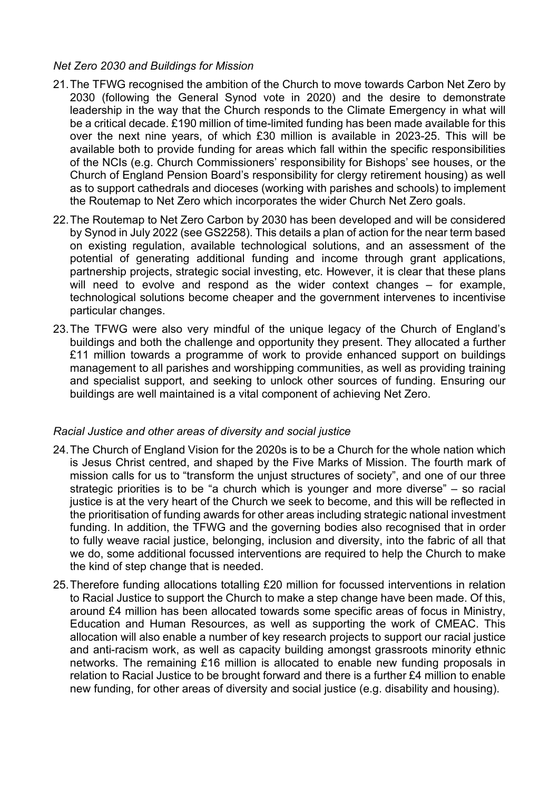## *Net Zero 2030 and Buildings for Mission*

- 21.The TFWG recognised the ambition of the Church to move towards Carbon Net Zero by 2030 (following the General Synod vote in 2020) and the desire to demonstrate leadership in the way that the Church responds to the Climate Emergency in what will be a critical decade. £190 million of time-limited funding has been made available for this over the next nine years, of which £30 million is available in 2023-25. This will be available both to provide funding for areas which fall within the specific responsibilities of the NCIs (e.g. Church Commissioners' responsibility for Bishops' see houses, or the Church of England Pension Board's responsibility for clergy retirement housing) as well as to support cathedrals and dioceses (working with parishes and schools) to implement the Routemap to Net Zero which incorporates the wider Church Net Zero goals.
- 22.The Routemap to Net Zero Carbon by 2030 has been developed and will be considered by Synod in July 2022 (see GS2258). This details a plan of action for the near term based on existing regulation, available technological solutions, and an assessment of the potential of generating additional funding and income through grant applications, partnership projects, strategic social investing, etc. However, it is clear that these plans will need to evolve and respond as the wider context changes – for example, technological solutions become cheaper and the government intervenes to incentivise particular changes.
- 23.The TFWG were also very mindful of the unique legacy of the Church of England's buildings and both the challenge and opportunity they present. They allocated a further £11 million towards a programme of work to provide enhanced support on buildings management to all parishes and worshipping communities, as well as providing training and specialist support, and seeking to unlock other sources of funding. Ensuring our buildings are well maintained is a vital component of achieving Net Zero.

## *Racial Justice and other areas of diversity and social justice*

- 24.The Church of England Vision for the 2020s is to be a Church for the whole nation which is Jesus Christ centred, and shaped by the Five Marks of Mission. The fourth mark of mission calls for us to "transform the unjust structures of society", and one of our three strategic priorities is to be "a church which is younger and more diverse" – so racial justice is at the very heart of the Church we seek to become, and this will be reflected in the prioritisation of funding awards for other areas including strategic national investment funding. In addition, the TFWG and the governing bodies also recognised that in order to fully weave racial justice, belonging, inclusion and diversity, into the fabric of all that we do, some additional focussed interventions are required to help the Church to make the kind of step change that is needed.
- 25.Therefore funding allocations totalling £20 million for focussed interventions in relation to Racial Justice to support the Church to make a step change have been made. Of this, around £4 million has been allocated towards some specific areas of focus in Ministry, Education and Human Resources, as well as supporting the work of CMEAC. This allocation will also enable a number of key research projects to support our racial justice and anti-racism work, as well as capacity building amongst grassroots minority ethnic networks. The remaining £16 million is allocated to enable new funding proposals in relation to Racial Justice to be brought forward and there is a further £4 million to enable new funding, for other areas of diversity and social justice (e.g. disability and housing).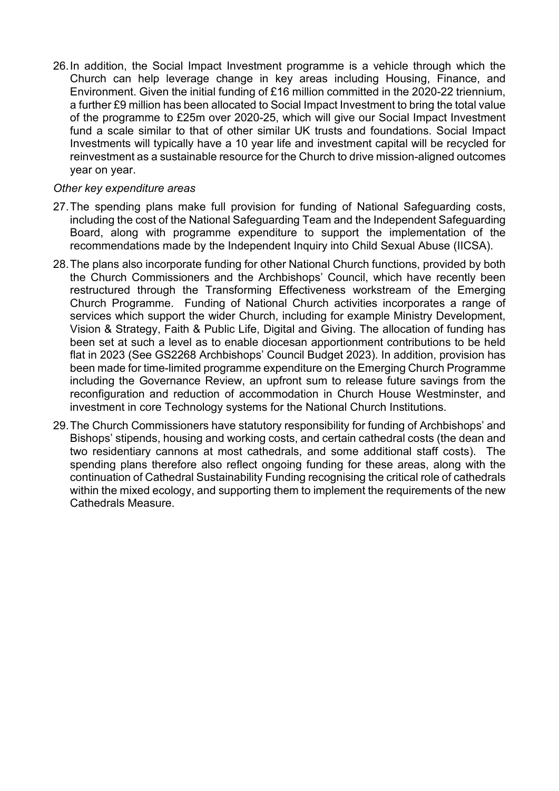26.In addition, the Social Impact Investment programme is a vehicle through which the Church can help leverage change in key areas including Housing, Finance, and Environment. Given the initial funding of £16 million committed in the 2020-22 triennium, a further £9 million has been allocated to Social Impact Investment to bring the total value of the programme to £25m over 2020-25, which will give our Social Impact Investment fund a scale similar to that of other similar UK trusts and foundations. Social Impact Investments will typically have a 10 year life and investment capital will be recycled for reinvestment as a sustainable resource for the Church to drive mission-aligned outcomes year on year.

#### *Other key expenditure areas*

- 27.The spending plans make full provision for funding of National Safeguarding costs, including the cost of the National Safeguarding Team and the Independent Safeguarding Board, along with programme expenditure to support the implementation of the recommendations made by the Independent Inquiry into Child Sexual Abuse (IICSA).
- 28.The plans also incorporate funding for other National Church functions, provided by both the Church Commissioners and the Archbishops' Council, which have recently been restructured through the Transforming Effectiveness workstream of the Emerging Church Programme. Funding of National Church activities incorporates a range of services which support the wider Church, including for example Ministry Development, Vision & Strategy, Faith & Public Life, Digital and Giving. The allocation of funding has been set at such a level as to enable diocesan apportionment contributions to be held flat in 2023 (See GS2268 Archbishops' Council Budget 2023). In addition, provision has been made for time-limited programme expenditure on the Emerging Church Programme including the Governance Review, an upfront sum to release future savings from the reconfiguration and reduction of accommodation in Church House Westminster, and investment in core Technology systems for the National Church Institutions.
- 29.The Church Commissioners have statutory responsibility for funding of Archbishops' and Bishops' stipends, housing and working costs, and certain cathedral costs (the dean and two residentiary cannons at most cathedrals, and some additional staff costs). The spending plans therefore also reflect ongoing funding for these areas, along with the continuation of Cathedral Sustainability Funding recognising the critical role of cathedrals within the mixed ecology, and supporting them to implement the requirements of the new Cathedrals Measure.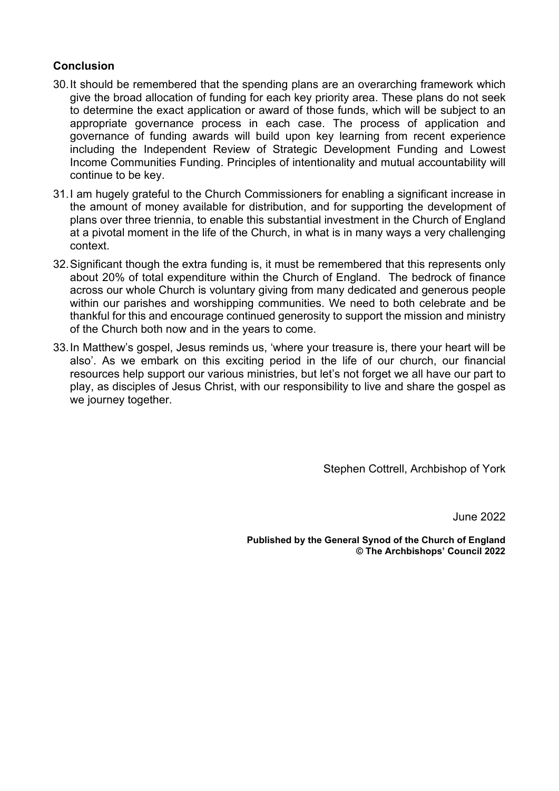## **Conclusion**

- 30.It should be remembered that the spending plans are an overarching framework which give the broad allocation of funding for each key priority area. These plans do not seek to determine the exact application or award of those funds, which will be subject to an appropriate governance process in each case. The process of application and governance of funding awards will build upon key learning from recent experience including the Independent Review of Strategic Development Funding and Lowest Income Communities Funding. Principles of intentionality and mutual accountability will continue to be key.
- 31.I am hugely grateful to the Church Commissioners for enabling a significant increase in the amount of money available for distribution, and for supporting the development of plans over three triennia, to enable this substantial investment in the Church of England at a pivotal moment in the life of the Church, in what is in many ways a very challenging context.
- 32.Significant though the extra funding is, it must be remembered that this represents only about 20% of total expenditure within the Church of England. The bedrock of finance across our whole Church is voluntary giving from many dedicated and generous people within our parishes and worshipping communities. We need to both celebrate and be thankful for this and encourage continued generosity to support the mission and ministry of the Church both now and in the years to come.
- 33.In Matthew's gospel, Jesus reminds us, 'where your treasure is, there your heart will be also'. As we embark on this exciting period in the life of our church, our financial resources help support our various ministries, but let's not forget we all have our part to play, as disciples of Jesus Christ, with our responsibility to live and share the gospel as we journey together.

Stephen Cottrell, Archbishop of York

June 2022

**Published by the General Synod of the Church of England © The Archbishops' Council 2022**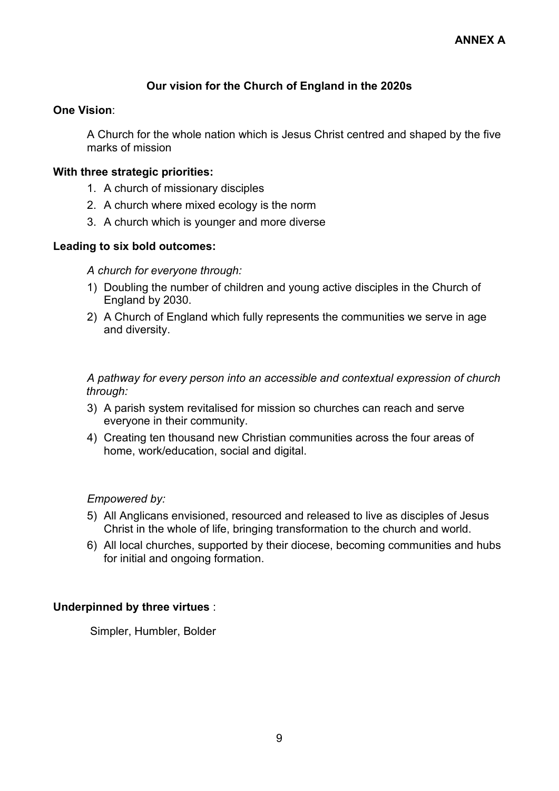## **Our vision for the Church of England in the 2020s**

## **One Vision**:

A Church for the whole nation which is Jesus Christ centred and shaped by the five marks of mission

## **With three strategic priorities:**

- 1. A church of missionary disciples
- 2. A church where mixed ecology is the norm
- 3. A church which is younger and more diverse

## **Leading to six bold outcomes:**

*A church for everyone through:*

- 1) Doubling the number of children and young active disciples in the Church of England by 2030.
- 2) A Church of England which fully represents the communities we serve in age and diversity.

*A pathway for every person into an accessible and contextual expression of church through:*

- 3) A parish system revitalised for mission so churches can reach and serve everyone in their community.
- 4) Creating ten thousand new Christian communities across the four areas of home, work/education, social and digital.

#### *Empowered by:*

- 5) All Anglicans envisioned, resourced and released to live as disciples of Jesus Christ in the whole of life, bringing transformation to the church and world.
- 6) All local churches, supported by their diocese, becoming communities and hubs for initial and ongoing formation.

#### **Underpinned by three virtues** :

Simpler, Humbler, Bolder